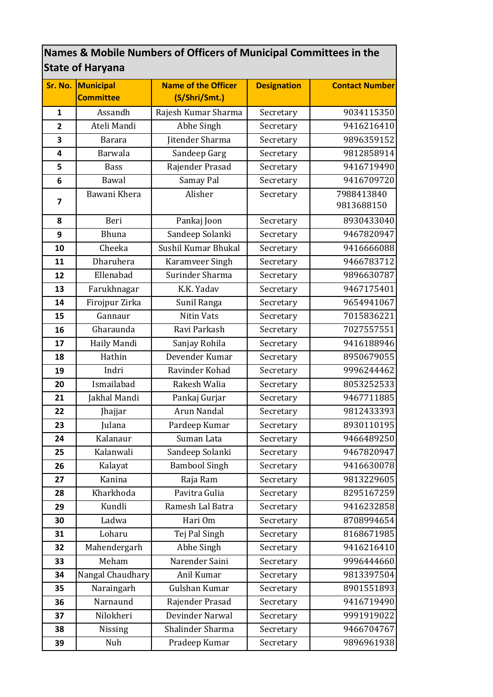## **Names & Mobile Numbers of Officers of Municipal Committees in the State of Haryana**

|                         | Sr. No. Municipal | <b>Name of the Officer</b> | <b>Designation</b> | <b>Contact Number</b>    |
|-------------------------|-------------------|----------------------------|--------------------|--------------------------|
|                         | <b>Committee</b>  | (S/Shri/Smt.)              |                    |                          |
| $\mathbf{1}$            | Assandh           | Rajesh Kumar Sharma        | Secretary          | 9034115350               |
| $\overline{2}$          | Ateli Mandi       | Abhe Singh                 | Secretary          | 9416216410               |
| 3                       | <b>Barara</b>     | Jitender Sharma            | Secretary          | 9896359152               |
| $\overline{\mathbf{4}}$ | Barwala           | Sandeep Garg               | Secretary          | 9812858914               |
| 5                       | <b>Bass</b>       | Rajender Prasad            | Secretary          | 9416719490               |
| 6                       | Bawal             | Samay Pal                  | Secretary          | 9416709720               |
| $\overline{7}$          | Bawani Khera      | Alisher                    | Secretary          | 7988413840<br>9813688150 |
| 8                       | Beri              | Pankaj Joon                | Secretary          | 8930433040               |
| 9                       | Bhuna             | Sandeep Solanki            | Secretary          | 9467820947               |
| 10                      | Cheeka            | Sushil Kumar Bhukal        | Secretary          | 9416666088               |
| 11                      | Dharuhera         | Karamveer Singh            | Secretary          | 9466783712               |
| 12                      | Ellenabad         | Surinder Sharma            | Secretary          | 9896630787               |
| 13                      | Farukhnagar       | K.K. Yadav                 | Secretary          | 9467175401               |
| 14                      | Firojpur Zirka    | Sunil Ranga                | Secretary          | 9654941067               |
| 15                      | Gannaur           | <b>Nitin Vats</b>          | Secretary          | 7015836221               |
| 16                      | Gharaunda         | Ravi Parkash               | Secretary          | 7027557551               |
| 17                      | Haily Mandi       | Sanjay Rohila              | Secretary          | 9416188946               |
| 18                      | Hathin            | Devender Kumar             | Secretary          | 8950679055               |
| 19                      | Indri             | Ravinder Kohad             | Secretary          | 9996244462               |
| 20                      | Ismailabad        | Rakesh Walia               | Secretary          | 8053252533               |
| 21                      | Jakhal Mandi      | Pankaj Gurjar              | Secretary          | 9467711885               |
| 22                      | Jhajjar           | Arun Nandal                | Secretary          | 9812433393               |
| 23                      | Julana            | Pardeep Kumar              | Secretary          | 8930110195               |
| 24                      | Kalanaur          | Suman Lata                 | Secretary          | 9466489250               |
| 25                      | Kalanwali         | Sandeep Solanki            | Secretary          | 9467820947               |
| 26                      | Kalayat           | <b>Bambool Singh</b>       | Secretary          | 9416630078               |
| 27                      | Kanina            | Raja Ram                   | Secretary          | 9813229605               |
| 28                      | Kharkhoda         | Pavitra Gulia              | Secretary          | 8295167259               |
| 29                      | Kundli            | Ramesh Lal Batra           | Secretary          | 9416232858               |
| 30                      | Ladwa             | Hari Om                    | Secretary          | 8708994654               |
| 31                      | Loharu            | Tej Pal Singh              | Secretary          | 8168671985               |
| 32                      | Mahendergarh      | Abhe Singh                 | Secretary          | 9416216410               |
| 33                      | Meham             | Narender Saini             | Secretary          | 9996444660               |
| 34                      | Nangal Chaudhary  | Anil Kumar                 | Secretary          | 9813397504               |
| 35                      | Naraingarh        | Gulshan Kumar              | Secretary          | 8901551893               |
| 36                      | Narnaund          | Rajender Prasad            | Secretary          | 9416719490               |
| 37                      | Nilokheri         | Devinder Narwal            | Secretary          | 9991919022               |
| 38                      | Nissing           | Shalinder Sharma           | Secretary          | 9466704767               |
| 39                      | Nuh               | Pradeep Kumar              | Secretary          | 9896961938               |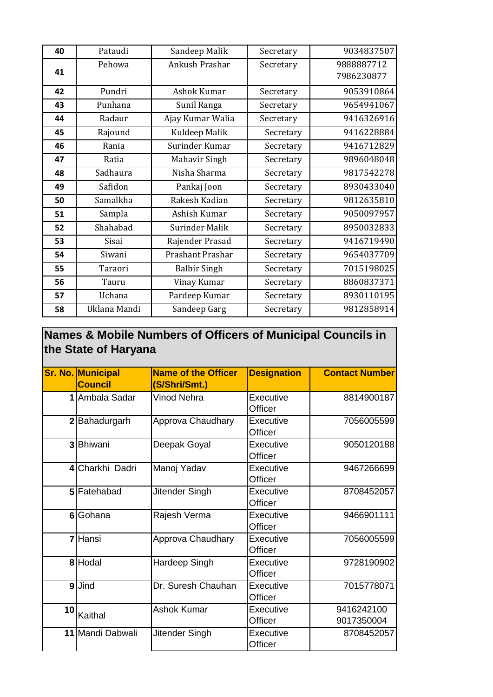| 40 | Pataudi      | Sandeep Malik       | Secretary | 9034837507               |
|----|--------------|---------------------|-----------|--------------------------|
| 41 | Pehowa       | Ankush Prashar      | Secretary | 9888887712<br>7986230877 |
| 42 | Pundri       | Ashok Kumar         | Secretary | 9053910864               |
| 43 | Punhana      | Sunil Ranga         | Secretary | 9654941067               |
| 44 | Radaur       | Ajay Kumar Walia    | Secretary | 9416326916               |
| 45 | Rajound      | Kuldeep Malik       | Secretary | 9416228884               |
| 46 | Rania        | Surinder Kumar      | Secretary | 9416712829               |
| 47 | Ratia        | Mahavir Singh       | Secretary | 9896048048               |
| 48 | Sadhaura     | Nisha Sharma        | Secretary | 9817542278               |
| 49 | Safidon      | Pankaj Joon         | Secretary | 8930433040               |
| 50 | Samalkha     | Rakesh Kadian       | Secretary | 9812635810               |
| 51 | Sampla       | Ashish Kumar        | Secretary | 9050097957               |
| 52 | Shahabad     | Surinder Malik      | Secretary | 8950032833               |
| 53 | Sisai        | Rajender Prasad     | Secretary | 9416719490               |
| 54 | Siwani       | Prashant Prashar    | Secretary | 9654037709               |
| 55 | Taraori      | <b>Balbir Singh</b> | Secretary | 7015198025               |
| 56 | Tauru        | Vinay Kumar         | Secretary | 8860837371               |
| 57 | Uchana       | Pardeep Kumar       | Secretary | 8930110195               |
| 58 | Uklana Mandi | Sandeep Garg        | Secretary | 9812858914               |

## **Names & Mobile Numbers of Officers of Municipal Councils in the State of Haryana**

|                 | Sr. No. Municipal | <b>Name of the Officer</b> | <b>Designation</b>          | <b>Contact Number</b>    |
|-----------------|-------------------|----------------------------|-----------------------------|--------------------------|
|                 | <b>Council</b>    | (S/Shri/Smt.)              |                             |                          |
|                 | 1 Ambala Sadar    | Vinod Nehra                | Executive<br>Officer        | 8814900187               |
|                 | 2 Bahadurgarh     | Approva Chaudhary          | Executive<br>Officer        | 7056005599               |
|                 | 3 Bhiwani         | Deepak Goyal               | Executive<br>Officer        | 9050120188               |
|                 | 4 Charkhi Dadri   | Manoj Yadav                | Executive<br>Officer        | 9467266699               |
|                 | 5 Fatehabad       | Jitender Singh             | Executive<br>Officer        | 8708452057               |
| 6 <sup>1</sup>  | Gohana            | Rajesh Verma               | <b>Executive</b><br>Officer | 9466901111               |
|                 | 7 Hansi           | Approva Chaudhary          | Executive<br>Officer        | 7056005599               |
|                 | 8 Hodal           | Hardeep Singh              | Executive<br>Officer        | 9728190902               |
|                 | 9Jind             | Dr. Suresh Chauhan         | Executive<br>Officer        | 7015778071               |
| 10 <sub>l</sub> | Kaithal           | <b>Ashok Kumar</b>         | Executive<br>Officer        | 9416242100<br>9017350004 |
|                 | 11 Mandi Dabwali  | Jitender Singh             | Executive<br>Officer        | 8708452057               |